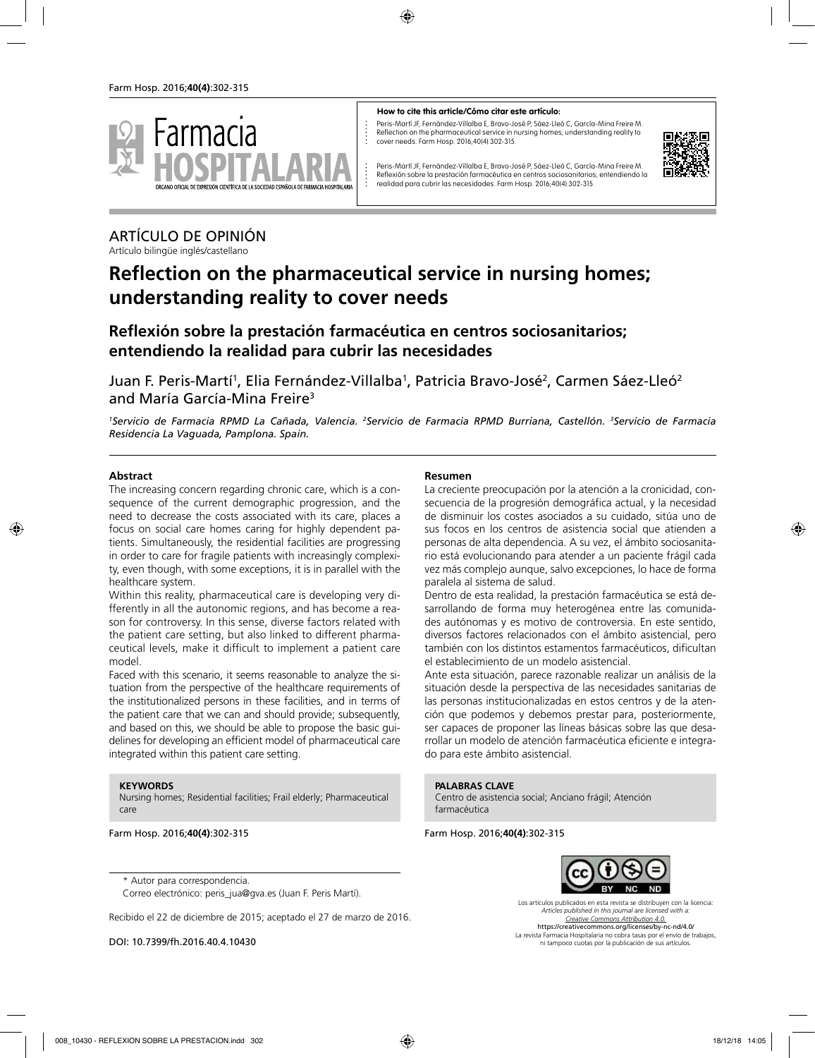

#### **How to cite this article/Cómo citar este artículo:**

Peris-Martí JF, Fernández-Villalba E, Bravo-José P, Sáez-Lleó C, García-Mina Freire M. Reflection on the pharmaceutical service in nursing homes; understanding reality to cover needs. Farm Hosp. 2016;40(4):302-315.



Peris-Martí JF, Fernández-Villalba E, Bravo-José P, Sáez-Lleó C, García-Mina Freire M. Reflexión sobre la prestación farmacéutica en centros sociosanitarios; entendiendo la realidad para cubrir las necesidades. Farm Hosp. 2016;40(4):302-315.

# ARTÍCULO DE OPINIÓN

Artículo bilingüe inglés/castellano

# **Reflection on the pharmaceutical service in nursing homes; understanding reality to cover needs**

# **Reflexión sobre la prestación farmacéutica en centros sociosanitarios; entendiendo la realidad para cubrir las necesidades**

Juan F. Peris-Martí<sup>1</sup>, Elia Fernández-Villalba<sup>1</sup>, Patricia Bravo-José<sup>2</sup>, Carmen Sáez-Lleó<sup>2</sup> and María García-Mina Freire3

<sup>1</sup>Servicio de Farmacia RPMD La Cañada, Valencia. <sup>2</sup>Servicio de Farmacia RPMD Burriana, Castellón. <sup>3</sup>Servicio de Farmacia *Residencia La Vaguada, Pamplona. Spain.*

#### **Abstract**

The increasing concern regarding chronic care, which is a consequence of the current demographic progression, and the need to decrease the costs associated with its care, places a focus on social care homes caring for highly dependent patients. Simultaneously, the residential facilities are progressing in order to care for fragile patients with increasingly complexity, even though, with some exceptions, it is in parallel with the healthcare system.

Within this reality, pharmaceutical care is developing very differently in all the autonomic regions, and has become a reason for controversy. In this sense, diverse factors related with the patient care setting, but also linked to different pharmaceutical levels, make it difficult to implement a patient care model.

Faced with this scenario, it seems reasonable to analyze the situation from the perspective of the healthcare requirements of the institutionalized persons in these facilities, and in terms of the patient care that we can and should provide; subsequently, and based on this, we should be able to propose the basic guidelines for developing an efficient model of pharmaceutical care integrated within this patient care setting.

#### **KEYWORDS**

Nursing homes; Residential facilities; Frail elderly; Pharmaceutical care

Farm Hosp. 2016;**40(4)**:302-315

\* Autor para correspondencia.

Correo electrónico: peris\_jua@gva.es (Juan F. Peris Martí).

Recibido el 22 de diciembre de 2015; aceptado el 27 de marzo de 2016.

DOI: 10.7399/fh.2016.40.4.10430

#### **Resumen**

La creciente preocupación por la atención a la cronicidad, consecuencia de la progresión demográfica actual, y la necesidad de disminuir los costes asociados a su cuidado, sitúa uno de sus focos en los centros de asistencia social que atienden a personas de alta dependencia. A su vez, el ámbito sociosanitario está evolucionando para atender a un paciente frágil cada vez más complejo aunque, salvo excepciones, lo hace de forma paralela al sistema de salud.

Dentro de esta realidad, la prestación farmacéutica se está desarrollando de forma muy heterogénea entre las comunidades autónomas y es motivo de controversia. En este sentido, diversos factores relacionados con el ámbito asistencial, pero también con los distintos estamentos farmacéuticos, dificultan el establecimiento de un modelo asistencial.

Ante esta situación, parece razonable realizar un análisis de la situación desde la perspectiva de las necesidades sanitarias de las personas institucionalizadas en estos centros y de la atención que podemos y debemos prestar para, posteriormente, ser capaces de proponer las líneas básicas sobre las que desarrollar un modelo de atención farmacéutica eficiente e integrado para este ámbito asistencial.

#### **PALABRAS CLAVE**

Centro de asistencia social; Anciano frágil; Atención farmacéutica

Farm Hosp. 2016;**40(4)**:302-315



Los artículos publicados en esta revista se distribuyen con la licencia: *Articles published in this journal are licensed with a: Creative Commons Attribution 4.0.* https://creativecommons.org/licenses/by-nc-nd/4.0/ La revista Farmacia Hospitalaria no cobra tasas por el envío de trabajos, ni tampoco cuotas por la publicación de sus artículos.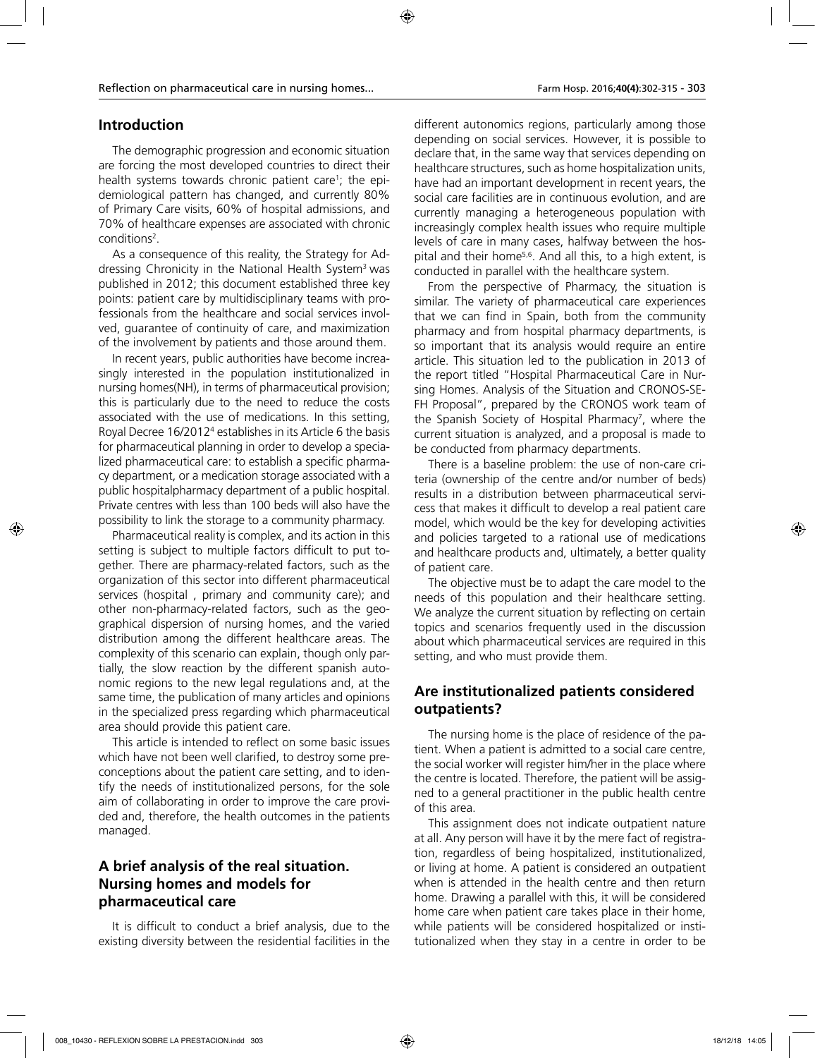# **Introduction**

The demographic progression and economic situation are forcing the most developed countries to direct their health systems towards chronic patient care<sup>1</sup>; the epidemiological pattern has changed, and currently 80% of Primary Care visits, 60% of hospital admissions, and 70% of healthcare expenses are associated with chronic conditions<sup>2</sup>.

As a consequence of this reality, the Strategy for Addressing Chronicity in the National Health System<sup>3</sup> was published in 2012; this document established three key points: patient care by multidisciplinary teams with professionals from the healthcare and social services involved, guarantee of continuity of care, and maximization of the involvement by patients and those around them.

In recent years, public authorities have become increasingly interested in the population institutionalized in nursing homes(NH), in terms of pharmaceutical provision; this is particularly due to the need to reduce the costs associated with the use of medications. In this setting, Royal Decree 16/2012<sup>4</sup> establishes in its Article 6 the basis for pharmaceutical planning in order to develop a specialized pharmaceutical care: to establish a specific pharmacy department, or a medication storage associated with a public hospitalpharmacy department of a public hospital. Private centres with less than 100 beds will also have the possibility to link the storage to a community pharmacy.

Pharmaceutical reality is complex, and its action in this setting is subject to multiple factors difficult to put together. There are pharmacy-related factors, such as the organization of this sector into different pharmaceutical services (hospital , primary and community care); and other non-pharmacy-related factors, such as the geographical dispersion of nursing homes, and the varied distribution among the different healthcare areas. The complexity of this scenario can explain, though only partially, the slow reaction by the different spanish autonomic regions to the new legal regulations and, at the same time, the publication of many articles and opinions in the specialized press regarding which pharmaceutical area should provide this patient care.

This article is intended to reflect on some basic issues which have not been well clarified, to destroy some preconceptions about the patient care setting, and to identify the needs of institutionalized persons, for the sole aim of collaborating in order to improve the care provided and, therefore, the health outcomes in the patients managed.

# **A brief analysis of the real situation. Nursing homes and models for pharmaceutical care**

It is difficult to conduct a brief analysis, due to the existing diversity between the residential facilities in the

different autonomics regions, particularly among those depending on social services. However, it is possible to declare that, in the same way that services depending on healthcare structures, such as home hospitalization units, have had an important development in recent years, the social care facilities are in continuous evolution, and are currently managing a heterogeneous population with increasingly complex health issues who require multiple levels of care in many cases, halfway between the hospital and their home<sup>5,6</sup>. And all this, to a high extent, is conducted in parallel with the healthcare system.

From the perspective of Pharmacy, the situation is similar. The variety of pharmaceutical care experiences that we can find in Spain, both from the community pharmacy and from hospital pharmacy departments, is so important that its analysis would require an entire article. This situation led to the publication in 2013 of the report titled "Hospital Pharmaceutical Care in Nursing Homes. Analysis of the Situation and CRONOS-SE-FH Proposal", prepared by the CRONOS work team of the Spanish Society of Hospital Pharmacy<sup>7</sup>, where the current situation is analyzed, and a proposal is made to be conducted from pharmacy departments.

There is a baseline problem: the use of non-care criteria (ownership of the centre and/or number of beds) results in a distribution between pharmaceutical servicess that makes it difficult to develop a real patient care model, which would be the key for developing activities and policies targeted to a rational use of medications and healthcare products and, ultimately, a better quality of patient care.

The objective must be to adapt the care model to the needs of this population and their healthcare setting. We analyze the current situation by reflecting on certain topics and scenarios frequently used in the discussion about which pharmaceutical services are required in this setting, and who must provide them.

# **Are institutionalized patients considered outpatients?**

The nursing home is the place of residence of the patient. When a patient is admitted to a social care centre, the social worker will register him/her in the place where the centre is located. Therefore, the patient will be assigned to a general practitioner in the public health centre of this area.

This assignment does not indicate outpatient nature at all. Any person will have it by the mere fact of registration, regardless of being hospitalized, institutionalized, or living at home. A patient is considered an outpatient when is attended in the health centre and then return home. Drawing a parallel with this, it will be considered home care when patient care takes place in their home, while patients will be considered hospitalized or institutionalized when they stay in a centre in order to be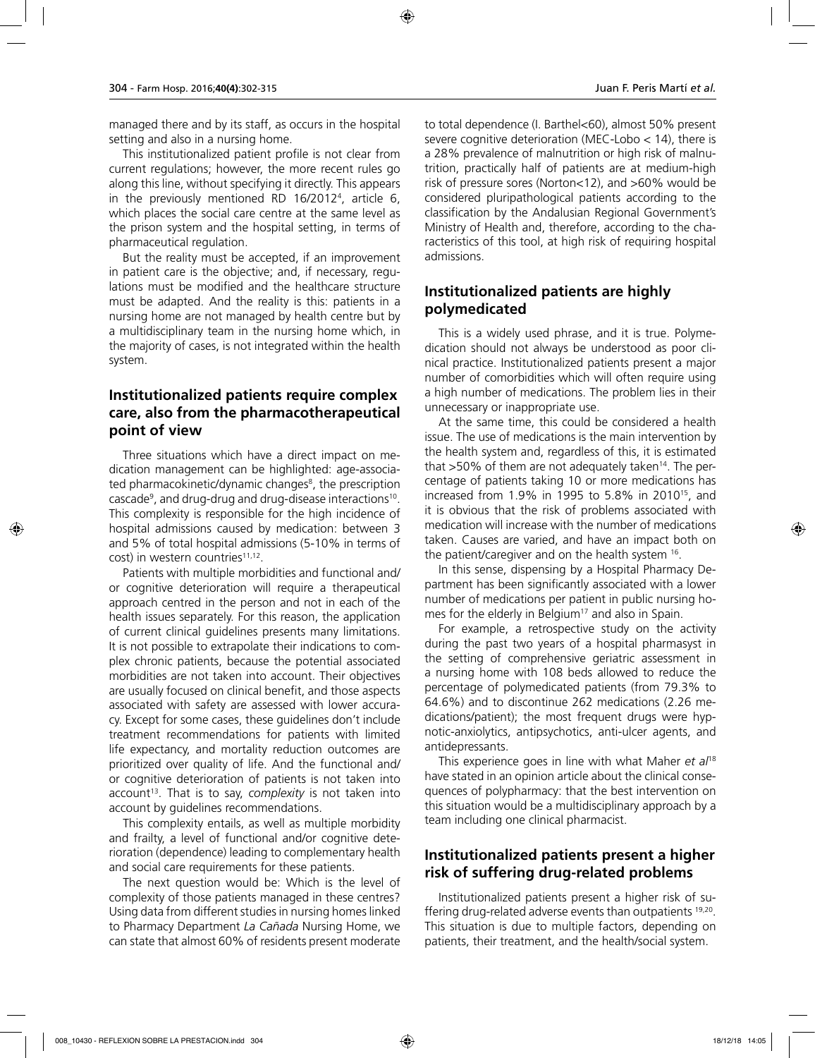managed there and by its staff, as occurs in the hospital setting and also in a nursing home.

This institutionalized patient profile is not clear from current regulations; however, the more recent rules go along this line, without specifying it directly. This appears in the previously mentioned RD 16/20124 , article 6, which places the social care centre at the same level as the prison system and the hospital setting, in terms of pharmaceutical regulation.

But the reality must be accepted, if an improvement in patient care is the objective; and, if necessary, regulations must be modified and the healthcare structure must be adapted. And the reality is this: patients in a nursing home are not managed by health centre but by a multidisciplinary team in the nursing home which, in the majority of cases, is not integrated within the health system.

#### **Institutionalized patients require complex care, also from the pharmacotherapeutical point of view**

Three situations which have a direct impact on medication management can be highlighted: age-associated pharmacokinetic/dynamic changes<sup>8</sup>, the prescription cascade9 , and drug-drug and drug-disease interactions10. This complexity is responsible for the high incidence of hospital admissions caused by medication: between 3 and 5% of total hospital admissions (5-10% in terms of  $cost$ ) in western countries<sup>11,12</sup>.

Patients with multiple morbidities and functional and/ or cognitive deterioration will require a therapeutical approach centred in the person and not in each of the health issues separately. For this reason, the application of current clinical guidelines presents many limitations. It is not possible to extrapolate their indications to complex chronic patients, because the potential associated morbidities are not taken into account. Their objectives are usually focused on clinical benefit, and those aspects associated with safety are assessed with lower accuracy. Except for some cases, these guidelines don't include treatment recommendations for patients with limited life expectancy, and mortality reduction outcomes are prioritized over quality of life. And the functional and/ or cognitive deterioration of patients is not taken into account<sup>13</sup>. That is to say, *complexity* is not taken into account by guidelines recommendations.

This complexity entails, as well as multiple morbidity and frailty, a level of functional and/or cognitive deterioration (dependence) leading to complementary health and social care requirements for these patients.

The next question would be: Which is the level of complexity of those patients managed in these centres? Using data from different studies in nursing homes linked to Pharmacy Department *La Cañada* Nursing Home, we can state that almost 60% of residents present moderate to total dependence (I. Barthel<60), almost 50% present severe cognitive deterioration (MEC-Lobo < 14), there is a 28% prevalence of malnutrition or high risk of malnutrition, practically half of patients are at medium-high risk of pressure sores (Norton<12), and >60% would be considered pluripathological patients according to the classification by the Andalusian Regional Government's Ministry of Health and, therefore, according to the characteristics of this tool, at high risk of requiring hospital admissions.

### **Institutionalized patients are highly polymedicated**

This is a widely used phrase, and it is true. Polymedication should not always be understood as poor clinical practice. Institutionalized patients present a major number of comorbidities which will often require using a high number of medications. The problem lies in their unnecessary or inappropriate use.

At the same time, this could be considered a health issue. The use of medications is the main intervention by the health system and, regardless of this, it is estimated that  $>50\%$  of them are not adequately taken<sup>14</sup>. The percentage of patients taking 10 or more medications has increased from 1.9% in 1995 to 5.8% in 201015, and it is obvious that the risk of problems associated with medication will increase with the number of medications taken. Causes are varied, and have an impact both on the patient/caregiver and on the health system <sup>16</sup>.

In this sense, dispensing by a Hospital Pharmacy Department has been significantly associated with a lower number of medications per patient in public nursing homes for the elderly in Belgium<sup>17</sup> and also in Spain.

For example, a retrospective study on the activity during the past two years of a hospital pharmasyst in the setting of comprehensive geriatric assessment in a nursing home with 108 beds allowed to reduce the percentage of polymedicated patients (from 79.3% to 64.6%) and to discontinue 262 medications (2.26 medications/patient); the most frequent drugs were hypnotic-anxiolytics, antipsychotics, anti-ulcer agents, and antidepressants.

This experience goes in line with what Maher *et al*<sup>18</sup> have stated in an opinion article about the clinical consequences of polypharmacy: that the best intervention on this situation would be a multidisciplinary approach by a team including one clinical pharmacist.

#### **Institutionalized patients present a higher risk of suffering drug-related problems**

Institutionalized patients present a higher risk of suffering drug-related adverse events than outpatients 19,20. This situation is due to multiple factors, depending on patients, their treatment, and the health/social system.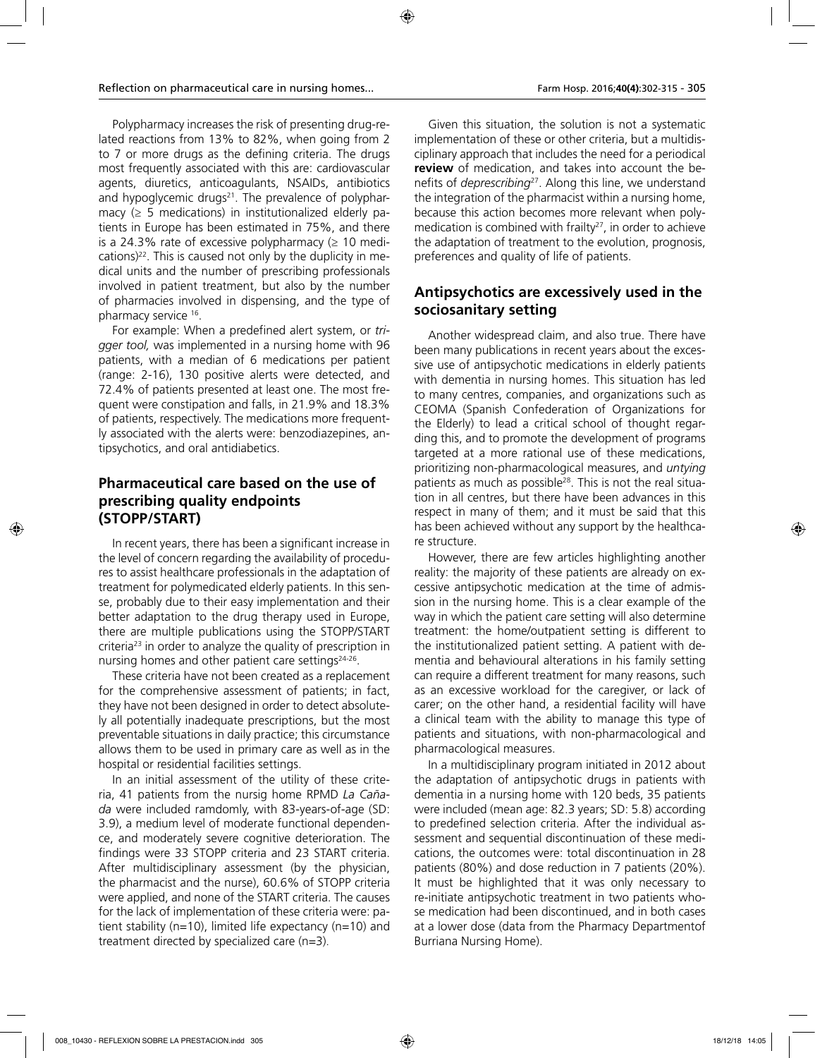Polypharmacy increases the risk of presenting drug-related reactions from 13% to 82%, when going from 2 to 7 or more drugs as the defining criteria. The drugs most frequently associated with this are: cardiovascular agents, diuretics, anticoagulants, NSAIDs, antibiotics and hypoglycemic drugs $21$ . The prevalence of polypharmacy  $($  5 medications) in institutionalized elderly patients in Europe has been estimated in 75%, and there is a 24.3% rate of excessive polypharmacy  $(≥ 10$  medications) $22$ . This is caused not only by the duplicity in medical units and the number of prescribing professionals involved in patient treatment, but also by the number of pharmacies involved in dispensing, and the type of pharmacy service 16.

For example: When a predefined alert system, or *trigger tool,* was implemented in a nursing home with 96 patients, with a median of 6 medications per patient (range: 2-16), 130 positive alerts were detected, and 72.4% of patients presented at least one. The most frequent were constipation and falls, in 21.9% and 18.3% of patients, respectively. The medications more frequently associated with the alerts were: benzodiazepines, antipsychotics, and oral antidiabetics.

# **Pharmaceutical care based on the use of prescribing quality endpoints (STOPP/START)**

In recent years, there has been a significant increase in the level of concern regarding the availability of procedures to assist healthcare professionals in the adaptation of treatment for polymedicated elderly patients. In this sense, probably due to their easy implementation and their better adaptation to the drug therapy used in Europe, there are multiple publications using the STOPP/START criteria<sup>23</sup> in order to analyze the quality of prescription in nursing homes and other patient care settings $24-26$ .

These criteria have not been created as a replacement for the comprehensive assessment of patients; in fact, they have not been designed in order to detect absolutely all potentially inadequate prescriptions, but the most preventable situations in daily practice; this circumstance allows them to be used in primary care as well as in the hospital or residential facilities settings.

In an initial assessment of the utility of these criteria, 41 patients from the nursig home RPMD *La Cañada* were included ramdomly, with 83-years-of-age (SD: 3.9), a medium level of moderate functional dependence, and moderately severe cognitive deterioration. The findings were 33 STOPP criteria and 23 START criteria. After multidisciplinary assessment (by the physician, the pharmacist and the nurse), 60.6% of STOPP criteria were applied, and none of the START criteria. The causes for the lack of implementation of these criteria were: patient stability (n=10), limited life expectancy (n=10) and treatment directed by specialized care (n=3).

Given this situation, the solution is not a systematic implementation of these or other criteria, but a multidisciplinary approach that includes the need for a periodical **review** of medication, and takes into account the benefits of *deprescribing*27. Along this line, we understand the integration of the pharmacist within a nursing home, because this action becomes more relevant when polymedication is combined with frailty<sup>27</sup>, in order to achieve the adaptation of treatment to the evolution, prognosis, preferences and quality of life of patients.

### **Antipsychotics are excessively used in the sociosanitary setting**

Another widespread claim, and also true. There have been many publications in recent years about the excessive use of antipsychotic medications in elderly patients with dementia in nursing homes. This situation has led to many centres, companies, and organizations such as CEOMA (Spanish Confederation of Organizations for the Elderly) to lead a critical school of thought regarding this, and to promote the development of programs targeted at a more rational use of these medications, prioritizing non-pharmacological measures, and *untying* patients as much as possible<sup>28</sup>. This is not the real situation in all centres, but there have been advances in this respect in many of them; and it must be said that this has been achieved without any support by the healthcare structure.

However, there are few articles highlighting another reality: the majority of these patients are already on excessive antipsychotic medication at the time of admission in the nursing home. This is a clear example of the way in which the patient care setting will also determine treatment: the home/outpatient setting is different to the institutionalized patient setting. A patient with dementia and behavioural alterations in his family setting can require a different treatment for many reasons, such as an excessive workload for the caregiver, or lack of carer; on the other hand, a residential facility will have a clinical team with the ability to manage this type of patients and situations, with non-pharmacological and pharmacological measures.

In a multidisciplinary program initiated in 2012 about the adaptation of antipsychotic drugs in patients with dementia in a nursing home with 120 beds, 35 patients were included (mean age: 82.3 years; SD: 5.8) according to predefined selection criteria. After the individual assessment and sequential discontinuation of these medications, the outcomes were: total discontinuation in 28 patients (80%) and dose reduction in 7 patients (20%). It must be highlighted that it was only necessary to re-initiate antipsychotic treatment in two patients whose medication had been discontinued, and in both cases at a lower dose (data from the Pharmacy Departmentof Burriana Nursing Home).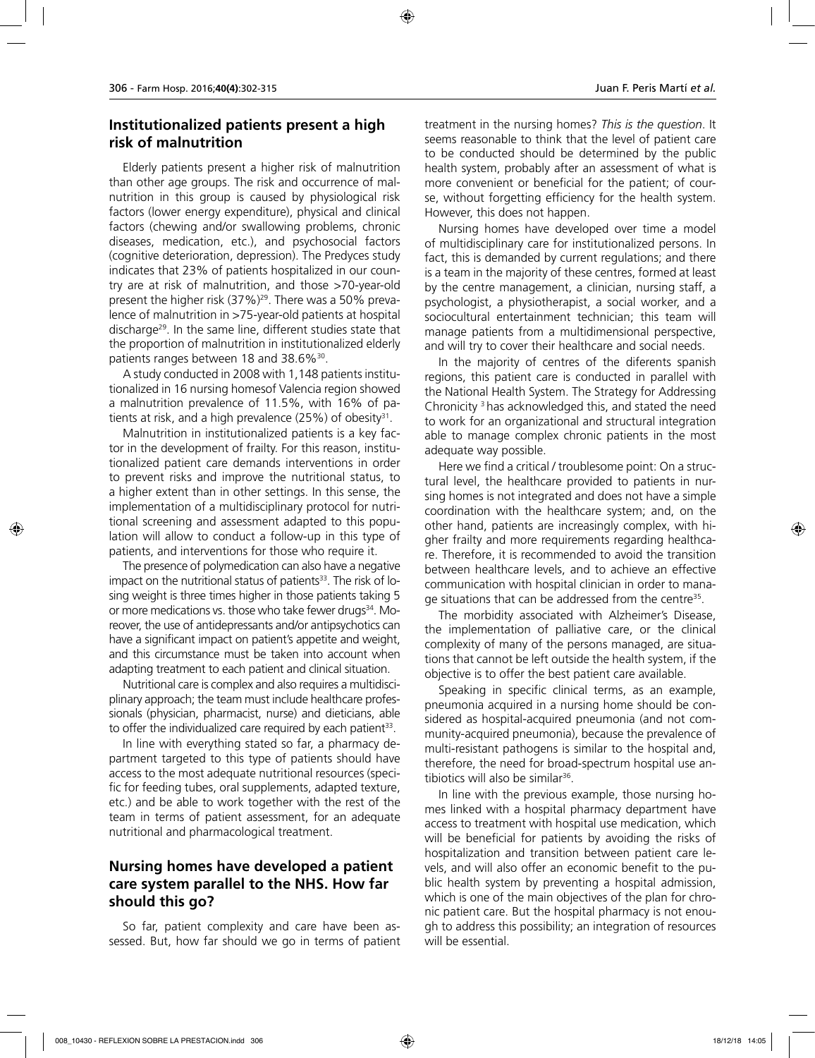#### **Institutionalized patients present a high risk of malnutrition**

Elderly patients present a higher risk of malnutrition than other age groups. The risk and occurrence of malnutrition in this group is caused by physiological risk factors (lower energy expenditure), physical and clinical factors (chewing and/or swallowing problems, chronic diseases, medication, etc.), and psychosocial factors (cognitive deterioration, depression). The Predyces study indicates that 23% of patients hospitalized in our country are at risk of malnutrition, and those >70-year-old present the higher risk (37%)29. There was a 50% prevalence of malnutrition in >75-year-old patients at hospital discharge29. In the same line, different studies state that the proportion of malnutrition in institutionalized elderly patients ranges between 18 and 38.6%<sup>30</sup>.

A study conducted in 2008 with 1,148 patients institutionalized in 16 nursing homesof Valencia region showed a malnutrition prevalence of 11.5%, with 16% of patients at risk, and a high prevalence  $(25%)$  of obesity<sup>31</sup>.

Malnutrition in institutionalized patients is a key factor in the development of frailty. For this reason, institutionalized patient care demands interventions in order to prevent risks and improve the nutritional status, to a higher extent than in other settings. In this sense, the implementation of a multidisciplinary protocol for nutritional screening and assessment adapted to this population will allow to conduct a follow-up in this type of patients, and interventions for those who require it.

The presence of polymedication can also have a negative impact on the nutritional status of patients $33$ . The risk of losing weight is three times higher in those patients taking 5 or more medications vs. those who take fewer drugs<sup>34</sup>. Moreover, the use of antidepressants and/or antipsychotics can have a significant impact on patient's appetite and weight, and this circumstance must be taken into account when adapting treatment to each patient and clinical situation.

Nutritional care is complex and also requires a multidisciplinary approach; the team must include healthcare professionals (physician, pharmacist, nurse) and dieticians, able to offer the individualized care required by each patient<sup>33</sup>.

In line with everything stated so far, a pharmacy department targeted to this type of patients should have access to the most adequate nutritional resources (specific for feeding tubes, oral supplements, adapted texture, etc.) and be able to work together with the rest of the team in terms of patient assessment, for an adequate nutritional and pharmacological treatment.

### **Nursing homes have developed a patient care system parallel to the NHS. How far should this go?**

So far, patient complexity and care have been assessed. But, how far should we go in terms of patient treatment in the nursing homes? *This is the question*. It seems reasonable to think that the level of patient care to be conducted should be determined by the public health system, probably after an assessment of what is more convenient or beneficial for the patient; of course, without forgetting efficiency for the health system. However, this does not happen.

Nursing homes have developed over time a model of multidisciplinary care for institutionalized persons. In fact, this is demanded by current regulations; and there is a team in the majority of these centres, formed at least by the centre management, a clinician, nursing staff, a psychologist, a physiotherapist, a social worker, and a sociocultural entertainment technician; this team will manage patients from a multidimensional perspective, and will try to cover their healthcare and social needs.

In the majority of centres of the diferents spanish regions, this patient care is conducted in parallel with the National Health System. The Strategy for Addressing Chronicity 3 has acknowledged this, and stated the need to work for an organizational and structural integration able to manage complex chronic patients in the most adequate way possible.

Here we find a critical / troublesome point: On a structural level, the healthcare provided to patients in nursing homes is not integrated and does not have a simple coordination with the healthcare system; and, on the other hand, patients are increasingly complex, with higher frailty and more requirements regarding healthcare. Therefore, it is recommended to avoid the transition between healthcare levels, and to achieve an effective communication with hospital clinician in order to manage situations that can be addressed from the centre<sup>35</sup>.

The morbidity associated with Alzheimer's Disease, the implementation of palliative care, or the clinical complexity of many of the persons managed, are situations that cannot be left outside the health system, if the objective is to offer the best patient care available.

Speaking in specific clinical terms, as an example, pneumonia acquired in a nursing home should be considered as hospital-acquired pneumonia (and not community-acquired pneumonia), because the prevalence of multi-resistant pathogens is similar to the hospital and, therefore, the need for broad-spectrum hospital use antibiotics will also be similar<sup>36</sup>.

In line with the previous example, those nursing homes linked with a hospital pharmacy department have access to treatment with hospital use medication, which will be beneficial for patients by avoiding the risks of hospitalization and transition between patient care levels, and will also offer an economic benefit to the public health system by preventing a hospital admission, which is one of the main objectives of the plan for chronic patient care. But the hospital pharmacy is not enough to address this possibility; an integration of resources will be essential.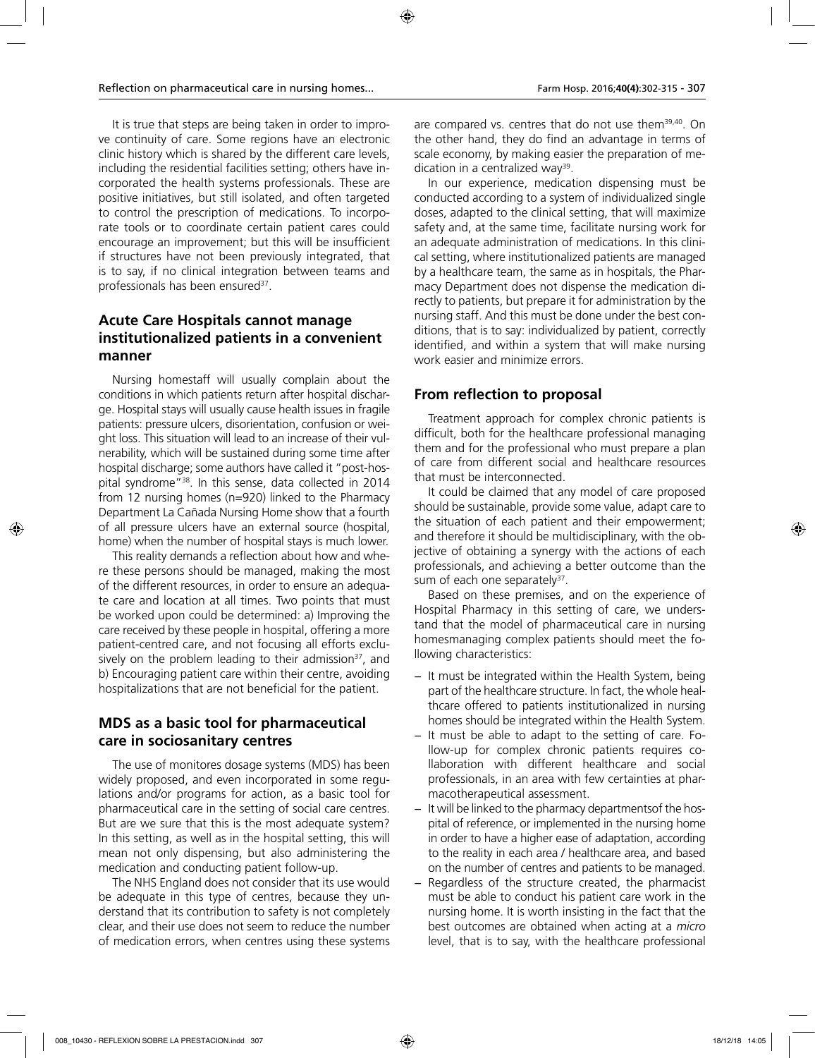It is true that steps are being taken in order to improve continuity of care. Some regions have an electronic clinic history which is shared by the different care levels, including the residential facilities setting; others have incorporated the health systems professionals. These are positive initiatives, but still isolated, and often targeted to control the prescription of medications. To incorporate tools or to coordinate certain patient cares could encourage an improvement; but this will be insufficient if structures have not been previously integrated, that is to say, if no clinical integration between teams and professionals has been ensured<sup>37</sup>.

# **Acute Care Hospitals cannot manage institutionalized patients in a convenient manner**

Nursing homestaff will usually complain about the conditions in which patients return after hospital discharge. Hospital stays will usually cause health issues in fragile patients: pressure ulcers, disorientation, confusion or weight loss. This situation will lead to an increase of their vulnerability, which will be sustained during some time after hospital discharge; some authors have called it "post-hospital syndrome"38. In this sense, data collected in 2014 from 12 nursing homes (n=920) linked to the Pharmacy Department La Cañada Nursing Home show that a fourth of all pressure ulcers have an external source (hospital, home) when the number of hospital stays is much lower.

This reality demands a reflection about how and where these persons should be managed, making the most of the different resources, in order to ensure an adequate care and location at all times. Two points that must be worked upon could be determined: a) Improving the care received by these people in hospital, offering a more patient-centred care, and not focusing all efforts exclusively on the problem leading to their admission<sup>37</sup>, and b) Encouraging patient care within their centre, avoiding hospitalizations that are not beneficial for the patient.

# **MDS as a basic tool for pharmaceutical care in sociosanitary centres**

The use of monitores dosage systems (MDS) has been widely proposed, and even incorporated in some regulations and/or programs for action, as a basic tool for pharmaceutical care in the setting of social care centres. But are we sure that this is the most adequate system? In this setting, as well as in the hospital setting, this will mean not only dispensing, but also administering the medication and conducting patient follow-up.

The NHS England does not consider that its use would be adequate in this type of centres, because they understand that its contribution to safety is not completely clear, and their use does not seem to reduce the number of medication errors, when centres using these systems

are compared vs. centres that do not use them<sup>39,40</sup>. On the other hand, they do find an advantage in terms of scale economy, by making easier the preparation of medication in a centralized way<sup>39</sup>.

In our experience, medication dispensing must be conducted according to a system of individualized single doses, adapted to the clinical setting, that will maximize safety and, at the same time, facilitate nursing work for an adequate administration of medications. In this clinical setting, where institutionalized patients are managed by a healthcare team, the same as in hospitals, the Pharmacy Department does not dispense the medication directly to patients, but prepare it for administration by the nursing staff. And this must be done under the best conditions, that is to say: individualized by patient, correctly identified, and within a system that will make nursing work easier and minimize errors.

#### **From reflection to proposal**

Treatment approach for complex chronic patients is difficult, both for the healthcare professional managing them and for the professional who must prepare a plan of care from different social and healthcare resources that must be interconnected.

It could be claimed that any model of care proposed should be sustainable, provide some value, adapt care to the situation of each patient and their empowerment; and therefore it should be multidisciplinary, with the objective of obtaining a synergy with the actions of each professionals, and achieving a better outcome than the sum of each one separately<sup>37</sup>.

Based on these premises, and on the experience of Hospital Pharmacy in this setting of care, we understand that the model of pharmaceutical care in nursing homesmanaging complex patients should meet the following characteristics:

- − It must be integrated within the Health System, being part of the healthcare structure. In fact, the whole healthcare offered to patients institutionalized in nursing homes should be integrated within the Health System.
- − It must be able to adapt to the setting of care. Follow-up for complex chronic patients requires collaboration with different healthcare and social professionals, in an area with few certainties at pharmacotherapeutical assessment.
- − It will be linked to the pharmacy departmentsof the hospital of reference, or implemented in the nursing home in order to have a higher ease of adaptation, according to the reality in each area / healthcare area, and based on the number of centres and patients to be managed.
- Regardless of the structure created, the pharmacist must be able to conduct his patient care work in the nursing home. It is worth insisting in the fact that the best outcomes are obtained when acting at a *micro* level, that is to say, with the healthcare professional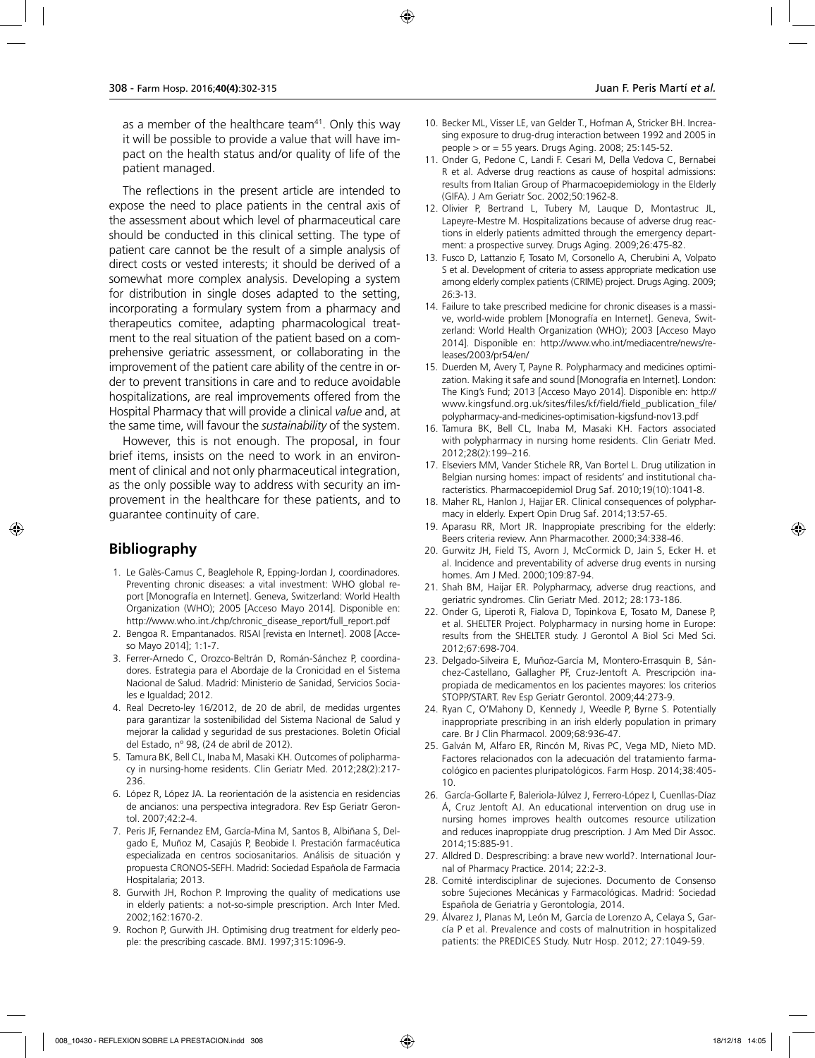as a member of the healthcare team $41$ . Only this way it will be possible to provide a value that will have impact on the health status and/or quality of life of the patient managed.

The reflections in the present article are intended to expose the need to place patients in the central axis of the assessment about which level of pharmaceutical care should be conducted in this clinical setting. The type of patient care cannot be the result of a simple analysis of direct costs or vested interests; it should be derived of a somewhat more complex analysis. Developing a system for distribution in single doses adapted to the setting, incorporating a formulary system from a pharmacy and therapeutics comitee, adapting pharmacological treatment to the real situation of the patient based on a comprehensive geriatric assessment, or collaborating in the improvement of the patient care ability of the centre in order to prevent transitions in care and to reduce avoidable hospitalizations, are real improvements offered from the Hospital Pharmacy that will provide a clinical *value* and, at the same time, will favour the *sustainability* of the system.

However, this is not enough. The proposal, in four brief items, insists on the need to work in an environment of clinical and not only pharmaceutical integration, as the only possible way to address with security an improvement in the healthcare for these patients, and to guarantee continuity of care.

### **Bibliography**

- 1. Le Galès-Camus C, Beaglehole R, Epping-Jordan J, coordinadores. Preventing chronic diseases: a vital investment: WHO global report [Monografía en Internet]. Geneva, Switzerland: World Health Organization (WHO); 2005 [Acceso Mayo 2014]. Disponible en: http://www.who.int./chp/chronic\_disease\_report/full\_report.pdf
- 2. Bengoa R. Empantanados. RISAI [revista en Internet]. 2008 [Acceso Mayo 2014]; 1:1-7.
- 3. Ferrer-Arnedo C, Orozco-Beltrán D, Román-Sánchez P, coordinadores. Estrategia para el Abordaje de la Cronicidad en el Sistema Nacional de Salud. Madrid: Ministerio de Sanidad, Servicios Sociales e Igualdad; 2012.
- 4. Real Decreto-ley 16/2012, de 20 de abril, de medidas urgentes para garantizar la sostenibilidad del Sistema Nacional de Salud y mejorar la calidad y seguridad de sus prestaciones. Boletín Oficial del Estado, nº 98, (24 de abril de 2012).
- 5. Tamura BK, Bell CL, Inaba M, Masaki KH. Outcomes of polipharmacy in nursing-home residents. Clin Geriatr Med. 2012;28(2):217- 236.
- 6. López R, López JA. La reorientación de la asistencia en residencias de ancianos: una perspectiva integradora. Rev Esp Geriatr Gerontol. 2007;42:2-4.
- 7. Peris JF, Fernandez EM, García-Mina M, Santos B, Albiñana S, Delgado E, Muñoz M, Casajús P, Beobide I. Prestación farmacéutica especializada en centros sociosanitarios. Análisis de situación y propuesta CRONOS-SEFH. Madrid: Sociedad Española de Farmacia Hospitalaria; 2013.
- 8. Gurwith JH, Rochon P. Improving the quality of medications use in elderly patients: a not-so-simple prescription. Arch Inter Med. 2002;162:1670-2.
- 9. Rochon P, Gurwith JH. Optimising drug treatment for elderly people: the prescribing cascade. BMJ. 1997;315:1096-9.
- 10. Becker ML, Visser LE, van Gelder T., Hofman A, Stricker BH. Increasing exposure to drug-drug interaction between 1992 and 2005 in people > or = 55 years. Drugs Aging. 2008; 25:145-52.
- 11. Onder G, Pedone C, Landi F. Cesari M, Della Vedova C, Bernabei R et al. Adverse drug reactions as cause of hospital admissions: results from Italian Group of Pharmacoepidemiology in the Elderly (GIFA). J Am Geriatr Soc. 2002;50:1962-8.
- 12. Olivier P, Bertrand L, Tubery M, Lauque D, Montastruc JL, Lapeyre-Mestre M. Hospitalizations because of adverse drug reactions in elderly patients admitted through the emergency department: a prospective survey. Drugs Aging. 2009;26:475-82.
- 13. Fusco D, Lattanzio F, Tosato M, Corsonello A, Cherubini A, Volpato S et al. Development of criteria to assess appropriate medication use among elderly complex patients (CRIME) project. Drugs Aging. 2009; 26:3-13.
- 14. Failure to take prescribed medicine for chronic diseases is a massive, world-wide problem [Monografía en Internet]. Geneva, Switzerland: World Health Organization (WHO); 2003 [Acceso Mayo 2014]. Disponible en: http://www.who.int/mediacentre/news/releases/2003/pr54/en/
- 15. Duerden M, Avery T, Payne R. Polypharmacy and medicines optimization. Making it safe and sound [Monografía en Internet]. London: The King's Fund; 2013 [Acceso Mayo 2014]. Disponible en: http:// www.kingsfund.org.uk/sites/files/kf/field/field\_publication\_file/ polypharmacy-and-medicines-optimisation-kigsfund-nov13.pdf
- 16. Tamura BK, Bell CL, Inaba M, Masaki KH. Factors associated with polypharmacy in nursing home residents. Clin Geriatr Med. 2012;28(2):199–216.
- 17. Elseviers MM, Vander Stichele RR, Van Bortel L. Drug utilization in Belgian nursing homes: impact of residents' and institutional characteristics. Pharmacoepidemiol Drug Saf. 2010;19(10):1041-8.
- 18. Maher RL, Hanlon J, Hajjar ER. Clinical consequences of polypharmacy in elderly. Expert Opin Drug Saf. 2014;13:57-65.
- 19. Aparasu RR, Mort JR. Inappropiate prescribing for the elderly: Beers criteria review. Ann Pharmacother. 2000;34:338-46.
- 20. Gurwitz JH, Field TS, Avorn J, McCormick D, Jain S, Ecker H. et al. Incidence and preventability of adverse drug events in nursing homes. Am J Med. 2000;109:87-94.
- 21. Shah BM, Haijar ER. Polypharmacy, adverse drug reactions, and geriatric syndromes. Clin Geriatr Med. 2012; 28:173-186.
- 22. Onder G, Liperoti R, Fialova D, Topinkova E, Tosato M, Danese P, et al. SHELTER Project. Polypharmacy in nursing home in Europe: results from the SHELTER study. J Gerontol A Biol Sci Med Sci. 2012;67:698-704.
- 23. Delgado-Silveira E, Muñoz-García M, Montero-Errasquin B, Sánchez-Castellano, Gallagher PF, Cruz-Jentoft A. Prescripción inapropiada de medicamentos en los pacientes mayores: los criterios STOPP/START. Rev Esp Geriatr Gerontol. 2009;44:273-9.
- 24. Ryan C, O'Mahony D, Kennedy J, Weedle P, Byrne S. Potentially inappropriate prescribing in an irish elderly population in primary care. Br J Clin Pharmacol. 2009;68:936-47.
- 25. Galván M, Alfaro ER, Rincón M, Rivas PC, Vega MD, Nieto MD. Factores relacionados con la adecuación del tratamiento farmacológico en pacientes pluripatológicos. Farm Hosp. 2014;38:405- 10.
- 26. García-Gollarte F, Baleriola-Júlvez J, Ferrero-López I, Cuenllas-Díaz Á, Cruz Jentoft AJ. An educational intervention on drug use in nursing homes improves health outcomes resource utilization and reduces inaproppiate drug prescription. J Am Med Dir Assoc. 2014;15:885-91.
- 27. Alldred D. Desprescribing: a brave new world?. International Journal of Pharmacy Practice. 2014; 22:2-3.
- 28. Comité interdisciplinar de sujeciones. Documento de Consenso sobre Sujeciones Mecánicas y Farmacológicas. Madrid: Sociedad Española de Geriatría y Gerontología, 2014.
- 29. Álvarez J, Planas M, León M, García de Lorenzo A, Celaya S, García P et al. Prevalence and costs of malnutrition in hospitalized patients: the PREDICES Study. Nutr Hosp. 2012; 27:1049-59.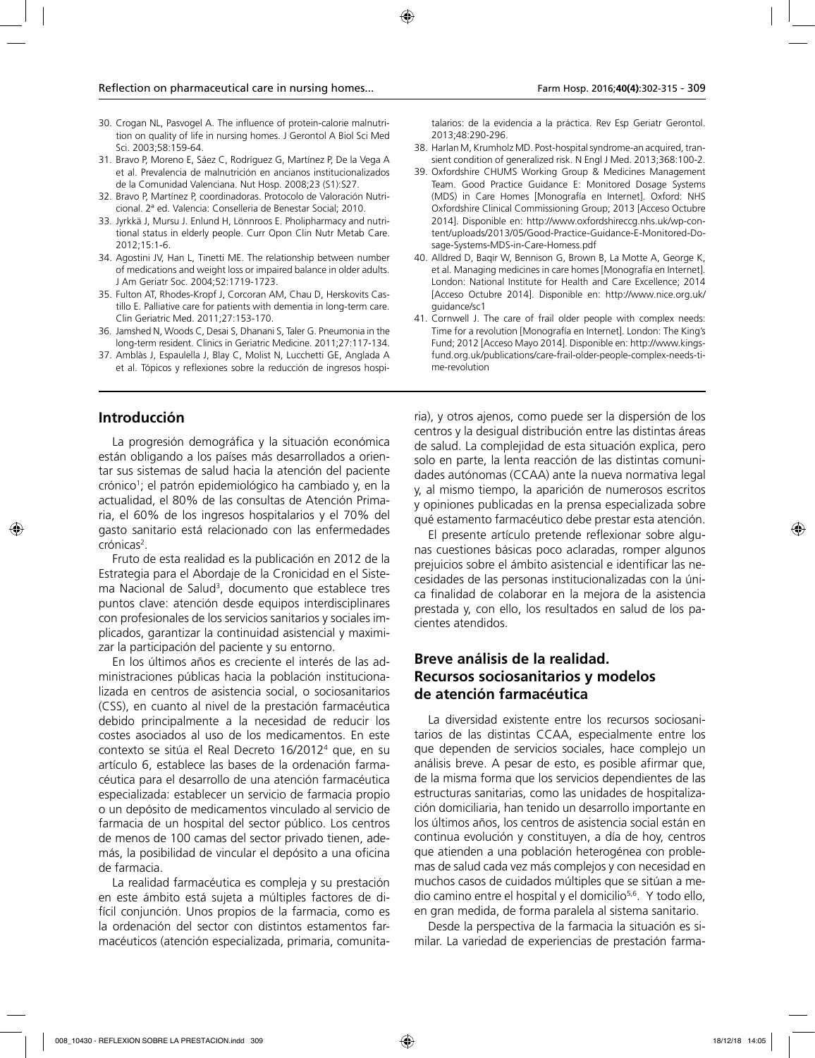- 30. Crogan NL, Pasvogel A. The influence of protein-calorie malnutrition on quality of life in nursing homes. J Gerontol A Biol Sci Med Sci. 2003;58:159-64.
- 31. Bravo P, Moreno E, Sáez C, Rodríguez G, Martínez P, De la Vega A et al. Prevalencia de malnutrición en ancianos institucionalizados de la Comunidad Valenciana. Nut Hosp. 2008;23 (S1):S27.
- 32. Bravo P, Martínez P, coordinadoras. Protocolo de Valoración Nutricional. 2ª ed. Valencia: Conselleria de Benestar Social; 2010.
- 33. Jyrkkä J, Mursu J. Enlund H, Lönnroos E. Pholipharmacy and nutritional status in elderly people. Curr Opon Clin Nutr Metab Care. 2012;15:1-6.
- 34. Agostini JV, Han L, Tinetti ME. The relationship between number of medications and weight loss or impaired balance in older adults. J Am Geriatr Soc. 2004;52:1719-1723.
- 35. Fulton AT, Rhodes-Kropf J, Corcoran AM, Chau D, Herskovits Castillo E. Palliative care for patients with dementia in long-term care. Clin Geriatric Med. 2011;27:153-170.
- 36. Jamshed N, Woods C, Desai S, Dhanani S, Taler G. Pneumonia in the long-term resident. Clinics in Geriatric Medicine. 2011;27:117-134.
- 37. Amblàs J, Espaulella J, Blay C, Molist N, Lucchetti GE, Anglada A et al. Tópicos y reflexiones sobre la reducción de ingresos hospi-

#### **Introducción**

La progresión demográfica y la situación económica están obligando a los países más desarrollados a orientar sus sistemas de salud hacia la atención del paciente crónico<sup>1</sup>; el patrón epidemiológico ha cambiado y, en la actualidad, el 80% de las consultas de Atención Primaria, el 60% de los ingresos hospitalarios y el 70% del gasto sanitario está relacionado con las enfermedades crónicas<sup>2</sup>.

Fruto de esta realidad es la publicación en 2012 de la Estrategia para el Abordaje de la Cronicidad en el Sistema Nacional de Salud<sup>3</sup>, documento que establece tres puntos clave: atención desde equipos interdisciplinares con profesionales de los servicios sanitarios y sociales implicados, garantizar la continuidad asistencial y maximizar la participación del paciente y su entorno.

En los últimos años es creciente el interés de las administraciones públicas hacia la población institucionalizada en centros de asistencia social, o sociosanitarios (CSS), en cuanto al nivel de la prestación farmacéutica debido principalmente a la necesidad de reducir los costes asociados al uso de los medicamentos. En este contexto se sitúa el Real Decreto 16/20124 que, en su artículo 6, establece las bases de la ordenación farmacéutica para el desarrollo de una atención farmacéutica especializada: establecer un servicio de farmacia propio o un depósito de medicamentos vinculado al servicio de farmacia de un hospital del sector público. Los centros de menos de 100 camas del sector privado tienen, además, la posibilidad de vincular el depósito a una oficina de farmacia.

La realidad farmacéutica es compleja y su prestación en este ámbito está sujeta a múltiples factores de difícil conjunción. Unos propios de la farmacia, como es la ordenación del sector con distintos estamentos farmacéuticos (atención especializada, primaria, comunitatalarios: de la evidencia a la práctica. Rev Esp Geriatr Gerontol. 2013;48:290-296.

- 38. Harlan M, Krumholz MD. Post-hospital syndrome-an acquired, transient condition of generalized risk. N Engl J Med. 2013;368:100-2.
- 39. Oxfordshire CHUMS Working Group & Medicines Management Team. Good Practice Guidance E: Monitored Dosage Systems (MDS) in Care Homes [Monografía en Internet]. Oxford: NHS Oxfordshire Clinical Commissioning Group; 2013 [Acceso Octubre 2014]. Disponible en: http://www.oxfordshireccg.nhs.uk/wp-content/uploads/2013/05/Good-Practice-Guidance-E-Monitored-Dosage-Systems-MDS-in-Care-Homess.pdf
- 40. Alldred D, Baqir W, Bennison G, Brown B, La Motte A, George K, et al. Managing medicines in care homes [Monografía en Internet]. London: National Institute for Health and Care Excellence; 2014 [Acceso Octubre 2014]. Disponible en: http://www.nice.org.uk/ guidance/sc1
- 41. Cornwell J. The care of frail older people with complex needs: Time for a revolution [Monografía en Internet]. London: The King's Fund; 2012 [Acceso Mayo 2014]. Disponible en: http://www.kingsfund.org.uk/publications/care-frail-older-people-complex-needs-time-revolution

ria), y otros ajenos, como puede ser la dispersión de los centros y la desigual distribución entre las distintas áreas de salud. La complejidad de esta situación explica, pero solo en parte, la lenta reacción de las distintas comunidades autónomas (CCAA) ante la nueva normativa legal y, al mismo tiempo, la aparición de numerosos escritos y opiniones publicadas en la prensa especializada sobre qué estamento farmacéutico debe prestar esta atención.

El presente artículo pretende reflexionar sobre algunas cuestiones básicas poco aclaradas, romper algunos prejuicios sobre el ámbito asistencial e identificar las necesidades de las personas institucionalizadas con la única finalidad de colaborar en la mejora de la asistencia prestada y, con ello, los resultados en salud de los pacientes atendidos.

#### **Breve análisis de la realidad. Recursos sociosanitarios y modelos de atención farmacéutica**

La diversidad existente entre los recursos sociosanitarios de las distintas CCAA, especialmente entre los que dependen de servicios sociales, hace complejo un análisis breve. A pesar de esto, es posible afirmar que, de la misma forma que los servicios dependientes de las estructuras sanitarias, como las unidades de hospitalización domiciliaria, han tenido un desarrollo importante en los últimos años, los centros de asistencia social están en continua evolución y constituyen, a día de hoy, centros que atienden a una población heterogénea con problemas de salud cada vez más complejos y con necesidad en muchos casos de cuidados múltiples que se sitúan a medio camino entre el hospital y el domicilio5,6. Y todo ello, en gran medida, de forma paralela al sistema sanitario.

Desde la perspectiva de la farmacia la situación es similar. La variedad de experiencias de prestación farma-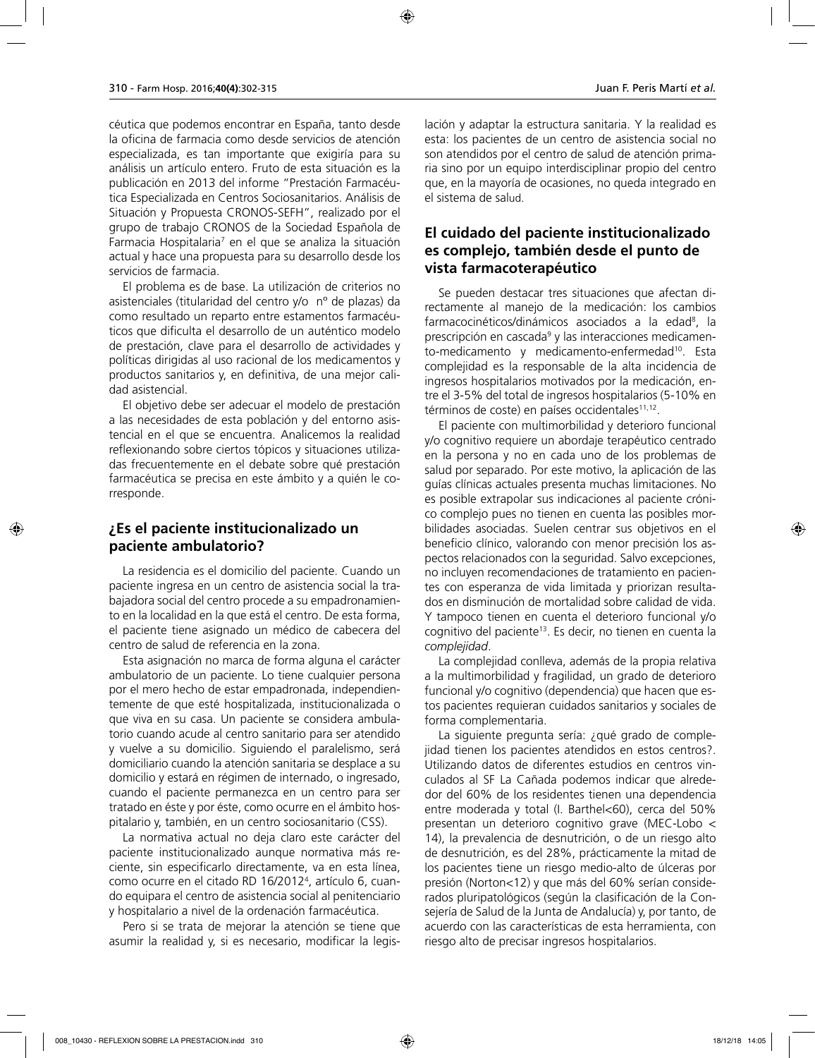céutica que podemos encontrar en España, tanto desde la oficina de farmacia como desde servicios de atención especializada, es tan importante que exigiría para su análisis un artículo entero. Fruto de esta situación es la publicación en 2013 del informe "Prestación Farmacéutica Especializada en Centros Sociosanitarios. Análisis de Situación y Propuesta CRONOS-SEFH", realizado por el grupo de trabajo CRONOS de la Sociedad Española de Farmacia Hospitalaria<sup>7</sup> en el que se analiza la situación actual y hace una propuesta para su desarrollo desde los servicios de farmacia.

El problema es de base. La utilización de criterios no asistenciales (titularidad del centro y/o nº de plazas) da como resultado un reparto entre estamentos farmacéuticos que dificulta el desarrollo de un auténtico modelo de prestación, clave para el desarrollo de actividades y políticas dirigidas al uso racional de los medicamentos y productos sanitarios y, en definitiva, de una mejor calidad asistencial.

El objetivo debe ser adecuar el modelo de prestación a las necesidades de esta población y del entorno asistencial en el que se encuentra. Analicemos la realidad reflexionando sobre ciertos tópicos y situaciones utilizadas frecuentemente en el debate sobre qué prestación farmacéutica se precisa en este ámbito y a quién le corresponde.

#### **¿Es el paciente institucionalizado un paciente ambulatorio?**

La residencia es el domicilio del paciente. Cuando un paciente ingresa en un centro de asistencia social la trabajadora social del centro procede a su empadronamiento en la localidad en la que está el centro. De esta forma, el paciente tiene asignado un médico de cabecera del centro de salud de referencia en la zona.

Esta asignación no marca de forma alguna el carácter ambulatorio de un paciente. Lo tiene cualquier persona por el mero hecho de estar empadronada, independientemente de que esté hospitalizada, institucionalizada o que viva en su casa. Un paciente se considera ambulatorio cuando acude al centro sanitario para ser atendido y vuelve a su domicilio. Siguiendo el paralelismo, será domiciliario cuando la atención sanitaria se desplace a su domicilio y estará en régimen de internado, o ingresado, cuando el paciente permanezca en un centro para ser tratado en éste y por éste, como ocurre en el ámbito hospitalario y, también, en un centro sociosanitario (CSS).

La normativa actual no deja claro este carácter del paciente institucionalizado aunque normativa más reciente, sin especificarlo directamente, va en esta línea, como ocurre en el citado RD 16/20124 , artículo 6, cuando equipara el centro de asistencia social al penitenciario y hospitalario a nivel de la ordenación farmacéutica.

Pero si se trata de mejorar la atención se tiene que asumir la realidad y, si es necesario, modificar la legislación y adaptar la estructura sanitaria. Y la realidad es esta: los pacientes de un centro de asistencia social no son atendidos por el centro de salud de atención primaria sino por un equipo interdisciplinar propio del centro que, en la mayoría de ocasiones, no queda integrado en el sistema de salud.

#### **El cuidado del paciente institucionalizado es complejo, también desde el punto de vista farmacoterapéutico**

Se pueden destacar tres situaciones que afectan directamente al manejo de la medicación: los cambios farmacocinéticos/dinámicos asociados a la edad<sup>8</sup>, la prescripción en cascada<sup>9</sup> y las interacciones medicamento-medicamento y medicamento-enfermedad10. Esta complejidad es la responsable de la alta incidencia de ingresos hospitalarios motivados por la medicación, entre el 3-5% del total de ingresos hospitalarios (5-10% en términos de coste) en países occidentales<sup>11,12</sup>.

El paciente con multimorbilidad y deterioro funcional y/o cognitivo requiere un abordaje terapéutico centrado en la persona y no en cada uno de los problemas de salud por separado. Por este motivo, la aplicación de las guías clínicas actuales presenta muchas limitaciones. No es posible extrapolar sus indicaciones al paciente crónico complejo pues no tienen en cuenta las posibles morbilidades asociadas. Suelen centrar sus objetivos en el beneficio clínico, valorando con menor precisión los aspectos relacionados con la seguridad. Salvo excepciones, no incluyen recomendaciones de tratamiento en pacientes con esperanza de vida limitada y priorizan resultados en disminución de mortalidad sobre calidad de vida. Y tampoco tienen en cuenta el deterioro funcional y/o cognitivo del paciente13. Es decir, no tienen en cuenta la *complejidad*.

La complejidad conlleva, además de la propia relativa a la multimorbilidad y fragilidad, un grado de deterioro funcional y/o cognitivo (dependencia) que hacen que estos pacientes requieran cuidados sanitarios y sociales de forma complementaria.

La siguiente pregunta sería: ¿qué grado de complejidad tienen los pacientes atendidos en estos centros?. Utilizando datos de diferentes estudios en centros vinculados al SF La Cañada podemos indicar que alrededor del 60% de los residentes tienen una dependencia entre moderada y total (I. Barthel<60), cerca del 50% presentan un deterioro cognitivo grave (MEC-Lobo < 14), la prevalencia de desnutrición, o de un riesgo alto de desnutrición, es del 28%, prácticamente la mitad de los pacientes tiene un riesgo medio-alto de úlceras por presión (Norton<12) y que más del 60% serían considerados pluripatológicos (según la clasificación de la Consejería de Salud de la Junta de Andalucía) y, por tanto, de acuerdo con las características de esta herramienta, con riesgo alto de precisar ingresos hospitalarios.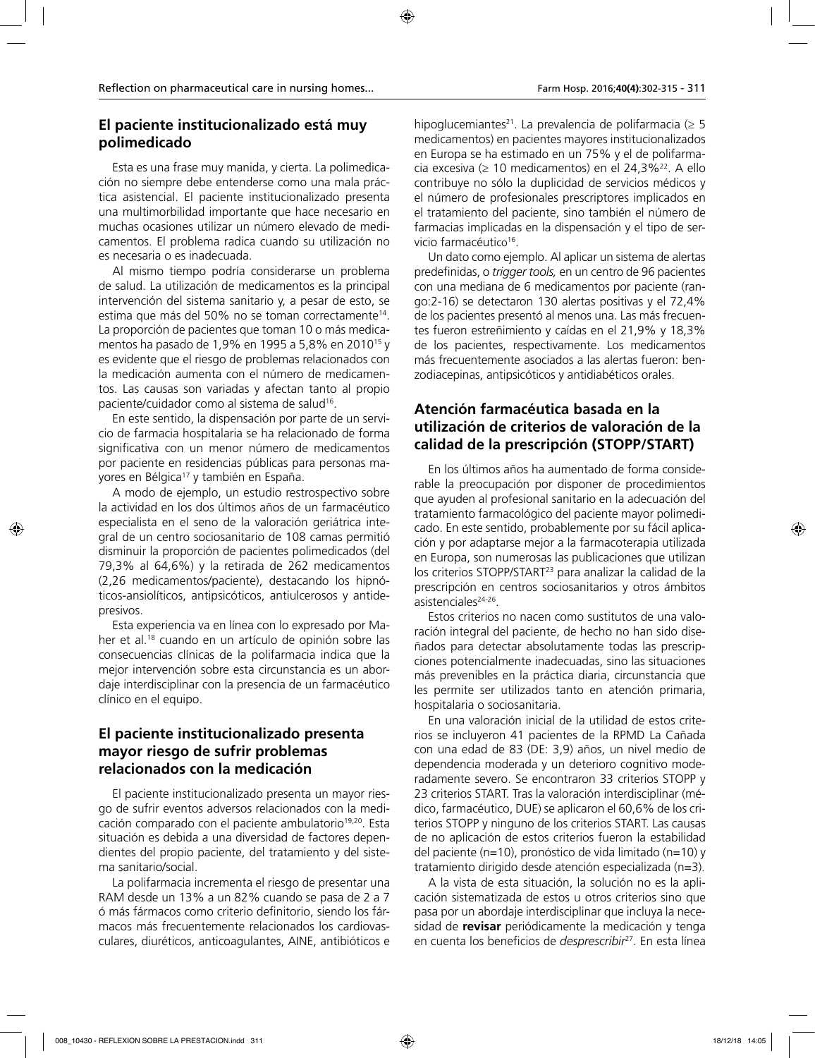# **El paciente institucionalizado está muy polimedicado**

Esta es una frase muy manida, y cierta. La polimedicación no siempre debe entenderse como una mala práctica asistencial. El paciente institucionalizado presenta una multimorbilidad importante que hace necesario en muchas ocasiones utilizar un número elevado de medicamentos. El problema radica cuando su utilización no es necesaria o es inadecuada.

Al mismo tiempo podría considerarse un problema de salud. La utilización de medicamentos es la principal intervención del sistema sanitario y, a pesar de esto, se estima que más del 50% no se toman correctamente<sup>14</sup>. La proporción de pacientes que toman 10 o más medicamentos ha pasado de 1,9% en 1995 a 5,8% en 201015 y es evidente que el riesgo de problemas relacionados con la medicación aumenta con el número de medicamentos. Las causas son variadas y afectan tanto al propio paciente/cuidador como al sistema de salud<sup>16</sup>.

En este sentido, la dispensación por parte de un servicio de farmacia hospitalaria se ha relacionado de forma significativa con un menor número de medicamentos por paciente en residencias públicas para personas mayores en Bélgica<sup>17</sup> y también en España.

A modo de ejemplo, un estudio restrospectivo sobre la actividad en los dos últimos años de un farmacéutico especialista en el seno de la valoración geriátrica integral de un centro sociosanitario de 108 camas permitió disminuir la proporción de pacientes polimedicados (del 79,3% al 64,6%) y la retirada de 262 medicamentos (2,26 medicamentos/paciente), destacando los hipnóticos-ansiolíticos, antipsicóticos, antiulcerosos y antidepresivos.

Esta experiencia va en línea con lo expresado por Maher et al.<sup>18</sup> cuando en un artículo de opinión sobre las consecuencias clínicas de la polifarmacia indica que la mejor intervención sobre esta circunstancia es un abordaje interdisciplinar con la presencia de un farmacéutico clínico en el equipo.

# **El paciente institucionalizado presenta mayor riesgo de sufrir problemas relacionados con la medicación**

El paciente institucionalizado presenta un mayor riesgo de sufrir eventos adversos relacionados con la medicación comparado con el paciente ambulatorio<sup>19,20</sup>. Esta situación es debida a una diversidad de factores dependientes del propio paciente, del tratamiento y del sistema sanitario/social.

La polifarmacia incrementa el riesgo de presentar una RAM desde un 13% a un 82% cuando se pasa de 2 a 7 ó más fármacos como criterio definitorio, siendo los fármacos más frecuentemente relacionados los cardiovasculares, diuréticos, anticoagulantes, AINE, antibióticos e

hipoglucemiantes<sup>21</sup>. La prevalencia de polifarmacia ( $\geq$  5 medicamentos) en pacientes mayores institucionalizados en Europa se ha estimado en un 75% y el de polifarmacia excesiva ( $\geq 10$  medicamentos) en el 24,3%<sup>22</sup>. A ello contribuye no sólo la duplicidad de servicios médicos y el número de profesionales prescriptores implicados en el tratamiento del paciente, sino también el número de farmacias implicadas en la dispensación y el tipo de servicio farmacéutico<sup>16</sup>.

Un dato como ejemplo. Al aplicar un sistema de alertas predefinidas, o *trigger tools,* en un centro de 96 pacientes con una mediana de 6 medicamentos por paciente (rango:2-16) se detectaron 130 alertas positivas y el 72,4% de los pacientes presentó al menos una. Las más frecuentes fueron estreñimiento y caídas en el 21,9% y 18,3% de los pacientes, respectivamente. Los medicamentos más frecuentemente asociados a las alertas fueron: benzodiacepinas, antipsicóticos y antidiabéticos orales.

# **Atención farmacéutica basada en la utilización de criterios de valoración de la calidad de la prescripción (STOPP/START)**

En los últimos años ha aumentado de forma considerable la preocupación por disponer de procedimientos que ayuden al profesional sanitario en la adecuación del tratamiento farmacológico del paciente mayor polimedicado. En este sentido, probablemente por su fácil aplicación y por adaptarse mejor a la farmacoterapia utilizada en Europa, son numerosas las publicaciones que utilizan los criterios STOPP/START<sup>23</sup> para analizar la calidad de la prescripción en centros sociosanitarios y otros ámbitos asistenciales<sup>24-26</sup>.

Estos criterios no nacen como sustitutos de una valoración integral del paciente, de hecho no han sido diseñados para detectar absolutamente todas las prescripciones potencialmente inadecuadas, sino las situaciones más prevenibles en la práctica diaria, circunstancia que les permite ser utilizados tanto en atención primaria, hospitalaria o sociosanitaria.

En una valoración inicial de la utilidad de estos criterios se incluyeron 41 pacientes de la RPMD La Cañada con una edad de 83 (DE: 3,9) años, un nivel medio de dependencia moderada y un deterioro cognitivo moderadamente severo. Se encontraron 33 criterios STOPP y 23 criterios START. Tras la valoración interdisciplinar (médico, farmacéutico, DUE) se aplicaron el 60,6% de los criterios STOPP y ninguno de los criterios START. Las causas de no aplicación de estos criterios fueron la estabilidad del paciente (n=10), pronóstico de vida limitado (n=10) y tratamiento dirigido desde atención especializada (n=3).

A la vista de esta situación, la solución no es la aplicación sistematizada de estos u otros criterios sino que pasa por un abordaje interdisciplinar que incluya la necesidad de **revisar** periódicamente la medicación y tenga en cuenta los beneficios de *desprescribir*27. En esta línea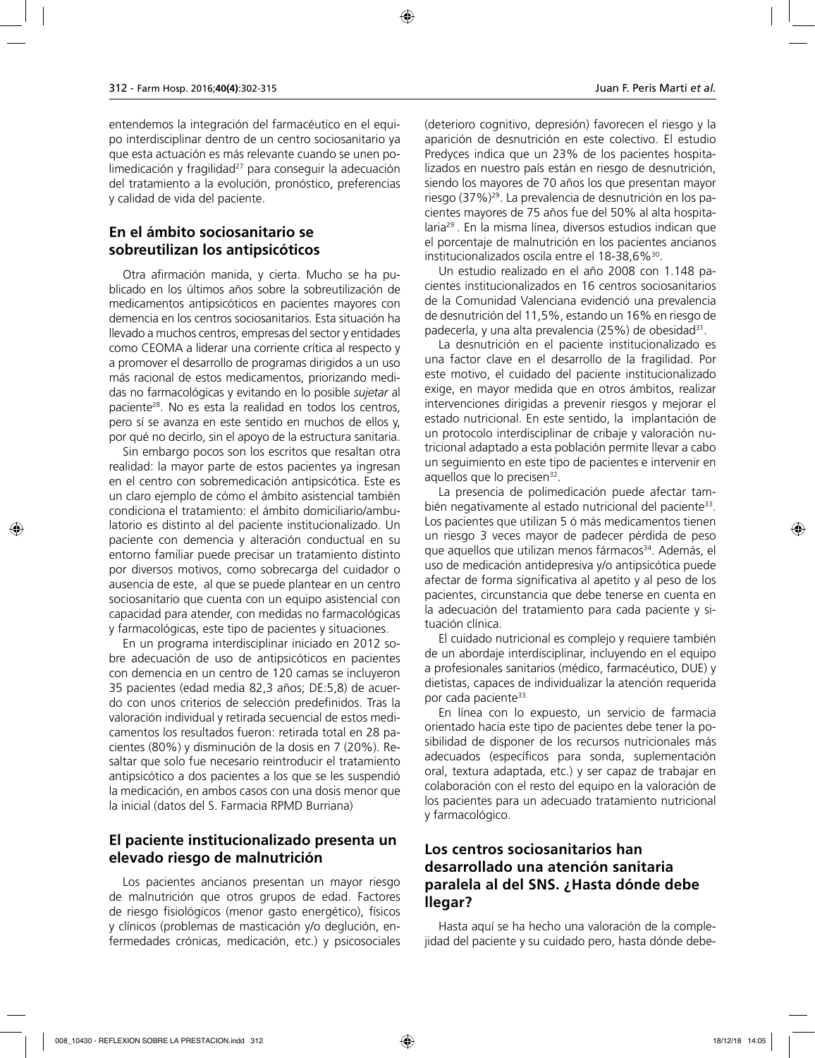entendemos la integración del farmacéutico en el equipo interdisciplinar dentro de un centro sociosanitario ya que esta actuación es más relevante cuando se unen polimedicación y fragilidad $^{27}$  para conseguir la adecuación del tratamiento a la evolución, pronóstico, preferencias y calidad de vida del paciente.

#### **En el ámbito sociosanitario se sobreutilizan los antipsicóticos**

Otra afirmación manida, y cierta. Mucho se ha publicado en los últimos años sobre la sobreutilización de medicamentos antipsicóticos en pacientes mayores con demencia en los centros sociosanitarios. Esta situación ha llevado a muchos centros, empresas del sector y entidades como CEOMA a liderar una corriente crítica al respecto y a promover el desarrollo de programas dirigidos a un uso más racional de estos medicamentos, priorizando medidas no farmacológicas y evitando en lo posible *sujetar* al paciente28. No es esta la realidad en todos los centros, pero sí se avanza en este sentido en muchos de ellos y, por qué no decirlo, sin el apoyo de la estructura sanitaria.

Sin embargo pocos son los escritos que resaltan otra realidad: la mayor parte de estos pacientes ya ingresan en el centro con sobremedicación antipsicótica. Este es un claro ejemplo de cómo el ámbito asistencial también condiciona el tratamiento: el ámbito domiciliario/ambulatorio es distinto al del paciente institucionalizado. Un paciente con demencia y alteración conductual en su entorno familiar puede precisar un tratamiento distinto por diversos motivos, como sobrecarga del cuidador o ausencia de este, al que se puede plantear en un centro sociosanitario que cuenta con un equipo asistencial con capacidad para atender, con medidas no farmacológicas y farmacológicas, este tipo de pacientes y situaciones.

En un programa interdisciplinar iniciado en 2012 sobre adecuación de uso de antipsicóticos en pacientes con demencia en un centro de 120 camas se incluyeron 35 pacientes (edad media 82,3 años; DE:5,8) de acuerdo con unos criterios de selección predefinidos. Tras la valoración individual y retirada secuencial de estos medicamentos los resultados fueron: retirada total en 28 pacientes (80%) y disminución de la dosis en 7 (20%). Resaltar que solo fue necesario reintroducir el tratamiento antipsicótico a dos pacientes a los que se les suspendió la medicación, en ambos casos con una dosis menor que la inicial (datos del S. Farmacia RPMD Burriana)

#### **El paciente institucionalizado presenta un elevado riesgo de malnutrición**

Los pacientes ancianos presentan un mayor riesgo de malnutrición que otros grupos de edad. Factores de riesgo fisiológicos (menor gasto energético), físicos y clínicos (problemas de masticación y/o deglución, enfermedades crónicas, medicación, etc.) y psicosociales

(deterioro cognitivo, depresión) favorecen el riesgo y la aparición de desnutrición en este colectivo. El estudio Predyces indica que un 23% de los pacientes hospitalizados en nuestro país están en riesgo de desnutrición, siendo los mayores de 70 años los que presentan mayor riesgo (37%)29. La prevalencia de desnutrición en los pacientes mayores de 75 años fue del 50% al alta hospitalaria29 . En la misma línea, diversos estudios indican que el porcentaje de malnutrición en los pacientes ancianos institucionalizados oscila entre el 18-38,6%<sup>30</sup>.

Un estudio realizado en el año 2008 con 1.148 pacientes institucionalizados en 16 centros sociosanitarios de la Comunidad Valenciana evidenció una prevalencia de desnutrición del 11,5%, estando un 16% en riesgo de padecerla, y una alta prevalencia (25%) de obesidad<sup>31</sup>.

La desnutrición en el paciente institucionalizado es una factor clave en el desarrollo de la fragilidad. Por este motivo, el cuidado del paciente institucionalizado exige, en mayor medida que en otros ámbitos, realizar intervenciones dirigidas a prevenir riesgos y mejorar el estado nutricional. En este sentido, la implantación de un protocolo interdisciplinar de cribaje y valoración nutricional adaptado a esta población permite llevar a cabo un seguimiento en este tipo de pacientes e intervenir en aquellos que lo precisen<sup>32</sup>.

La presencia de polimedicación puede afectar también negativamente al estado nutricional del paciente<sup>33</sup>. Los pacientes que utilizan 5 ó más medicamentos tienen un riesgo 3 veces mayor de padecer pérdida de peso que aquellos que utilizan menos fármacos<sup>34</sup>. Además, el uso de medicación antidepresiva y/o antipsicótica puede afectar de forma significativa al apetito y al peso de los pacientes, circunstancia que debe tenerse en cuenta en la adecuación del tratamiento para cada paciente y situación clínica.

El cuidado nutricional es complejo y requiere también de un abordaje interdisciplinar, incluyendo en el equipo a profesionales sanitarios (médico, farmacéutico, DUE) y dietistas, capaces de individualizar la atención requerida por cada paciente<sup>33.</sup>

En línea con lo expuesto, un servicio de farmacia orientado hacia este tipo de pacientes debe tener la posibilidad de disponer de los recursos nutricionales más adecuados (específicos para sonda, suplementación oral, textura adaptada, etc.) y ser capaz de trabajar en colaboración con el resto del equipo en la valoración de los pacientes para un adecuado tratamiento nutricional y farmacológico.

# **Los centros sociosanitarios han desarrollado una atención sanitaria paralela al del SNS. ¿Hasta dónde debe llegar?**

Hasta aquí se ha hecho una valoración de la complejidad del paciente y su cuidado pero, hasta dónde debe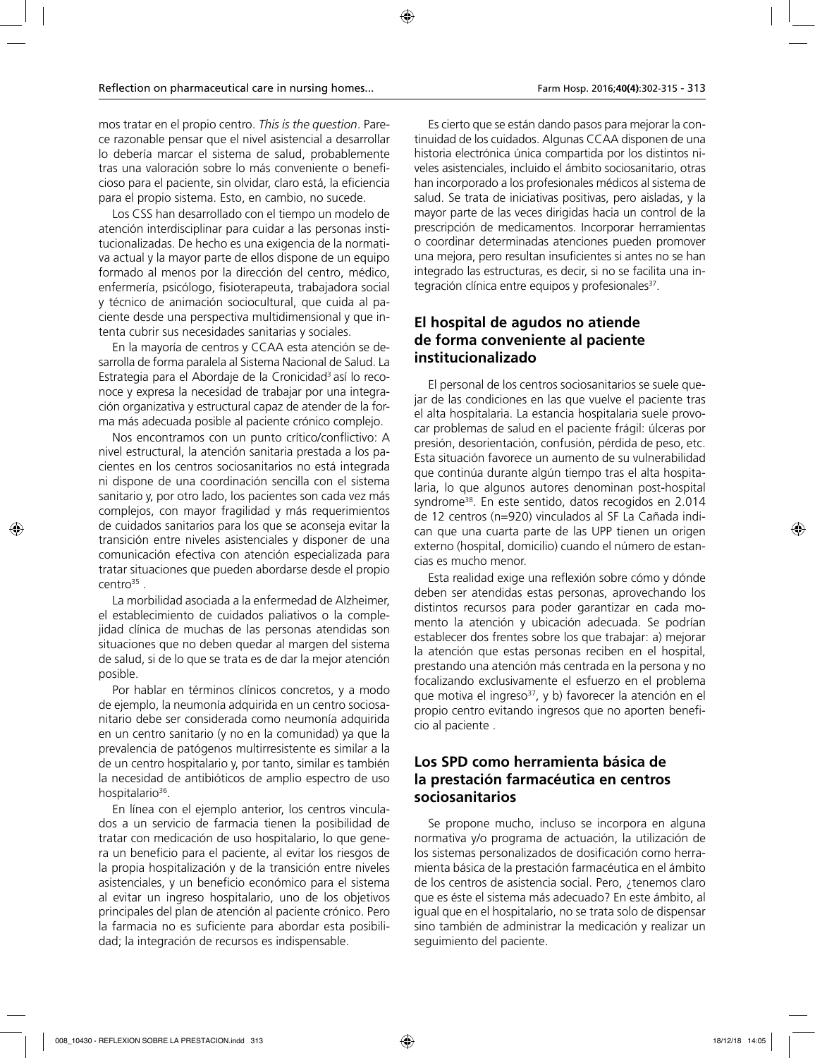mos tratar en el propio centro. *This is the question*. Parece razonable pensar que el nivel asistencial a desarrollar lo debería marcar el sistema de salud, probablemente tras una valoración sobre lo más conveniente o beneficioso para el paciente, sin olvidar, claro está, la eficiencia para el propio sistema. Esto, en cambio, no sucede.

Los CSS han desarrollado con el tiempo un modelo de atención interdisciplinar para cuidar a las personas institucionalizadas. De hecho es una exigencia de la normativa actual y la mayor parte de ellos dispone de un equipo formado al menos por la dirección del centro, médico, enfermería, psicólogo, fisioterapeuta, trabajadora social y técnico de animación sociocultural, que cuida al paciente desde una perspectiva multidimensional y que intenta cubrir sus necesidades sanitarias y sociales.

En la mayoría de centros y CCAA esta atención se desarrolla de forma paralela al Sistema Nacional de Salud. La Estrategia para el Abordaje de la Cronicidad<sup>3</sup> así lo reconoce y expresa la necesidad de trabajar por una integración organizativa y estructural capaz de atender de la forma más adecuada posible al paciente crónico complejo.

Nos encontramos con un punto crítico/conflictivo: A nivel estructural, la atención sanitaria prestada a los pacientes en los centros sociosanitarios no está integrada ni dispone de una coordinación sencilla con el sistema sanitario y, por otro lado, los pacientes son cada vez más complejos, con mayor fragilidad y más requerimientos de cuidados sanitarios para los que se aconseja evitar la transición entre niveles asistenciales y disponer de una comunicación efectiva con atención especializada para tratar situaciones que pueden abordarse desde el propio  $centro<sup>35</sup>$ .

La morbilidad asociada a la enfermedad de Alzheimer, el establecimiento de cuidados paliativos o la complejidad clínica de muchas de las personas atendidas son situaciones que no deben quedar al margen del sistema de salud, si de lo que se trata es de dar la mejor atención posible.

Por hablar en términos clínicos concretos, y a modo de ejemplo, la neumonía adquirida en un centro sociosanitario debe ser considerada como neumonía adquirida en un centro sanitario (y no en la comunidad) ya que la prevalencia de patógenos multirresistente es similar a la de un centro hospitalario y, por tanto, similar es también la necesidad de antibióticos de amplio espectro de uso hospitalario<sup>36</sup>.

En línea con el ejemplo anterior, los centros vinculados a un servicio de farmacia tienen la posibilidad de tratar con medicación de uso hospitalario, lo que genera un beneficio para el paciente, al evitar los riesgos de la propia hospitalización y de la transición entre niveles asistenciales, y un beneficio económico para el sistema al evitar un ingreso hospitalario, uno de los objetivos principales del plan de atención al paciente crónico. Pero la farmacia no es suficiente para abordar esta posibilidad; la integración de recursos es indispensable.

Es cierto que se están dando pasos para mejorar la continuidad de los cuidados. Algunas CCAA disponen de una historia electrónica única compartida por los distintos niveles asistenciales, incluido el ámbito sociosanitario, otras han incorporado a los profesionales médicos al sistema de salud. Se trata de iniciativas positivas, pero aisladas, y la mayor parte de las veces dirigidas hacia un control de la prescripción de medicamentos. Incorporar herramientas o coordinar determinadas atenciones pueden promover una mejora, pero resultan insuficientes si antes no se han integrado las estructuras, es decir, si no se facilita una integración clínica entre equipos y profesionales<sup>37</sup>.

### **El hospital de agudos no atiende de forma conveniente al paciente institucionalizado**

El personal de los centros sociosanitarios se suele quejar de las condiciones en las que vuelve el paciente tras el alta hospitalaria. La estancia hospitalaria suele provocar problemas de salud en el paciente frágil: úlceras por presión, desorientación, confusión, pérdida de peso, etc. Esta situación favorece un aumento de su vulnerabilidad que continúa durante algún tiempo tras el alta hospitalaria, lo que algunos autores denominan post-hospital syndrome<sup>38</sup>. En este sentido, datos recogidos en 2.014 de 12 centros (n=920) vinculados al SF La Cañada indican que una cuarta parte de las UPP tienen un origen externo (hospital, domicilio) cuando el número de estancias es mucho menor.

Esta realidad exige una reflexión sobre cómo y dónde deben ser atendidas estas personas, aprovechando los distintos recursos para poder garantizar en cada momento la atención y ubicación adecuada. Se podrían establecer dos frentes sobre los que trabajar: a) mejorar la atención que estas personas reciben en el hospital, prestando una atención más centrada en la persona y no focalizando exclusivamente el esfuerzo en el problema que motiva el ingreso<sup>37</sup>, y b) favorecer la atención en el propio centro evitando ingresos que no aporten beneficio al paciente .

### **Los SPD como herramienta básica de la prestación farmacéutica en centros sociosanitarios**

Se propone mucho, incluso se incorpora en alguna normativa y/o programa de actuación, la utilización de los sistemas personalizados de dosificación como herramienta básica de la prestación farmacéutica en el ámbito de los centros de asistencia social. Pero, ¿tenemos claro que es éste el sistema más adecuado? En este ámbito, al igual que en el hospitalario, no se trata solo de dispensar sino también de administrar la medicación y realizar un seguimiento del paciente.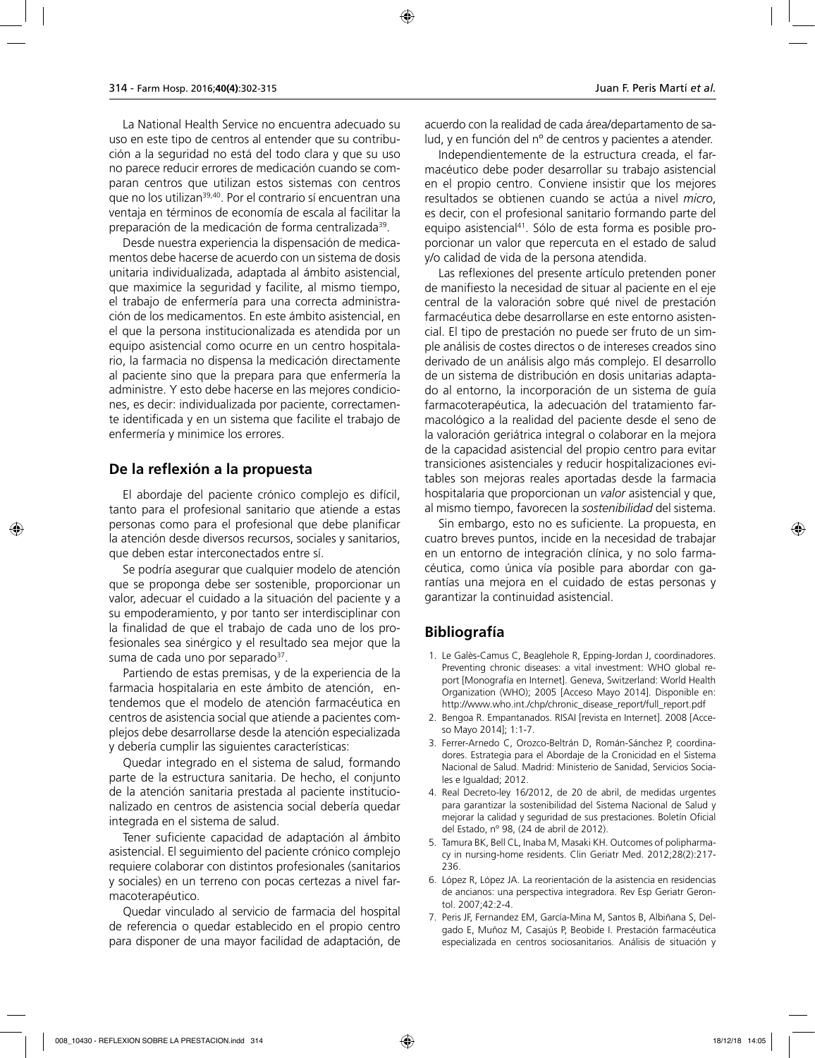La National Health Service no encuentra adecuado su uso en este tipo de centros al entender que su contribución a la seguridad no está del todo clara y que su uso no parece reducir errores de medicación cuando se comparan centros que utilizan estos sistemas con centros que no los utilizan<sup>39,40</sup>. Por el contrario sí encuentran una ventaja en términos de economía de escala al facilitar la preparación de la medicación de forma centralizada<sup>39</sup>.

Desde nuestra experiencia la dispensación de medicamentos debe hacerse de acuerdo con un sistema de dosis unitaria individualizada, adaptada al ámbito asistencial, que maximice la seguridad y facilite, al mismo tiempo, el trabajo de enfermería para una correcta administración de los medicamentos. En este ámbito asistencial, en el que la persona institucionalizada es atendida por un equipo asistencial como ocurre en un centro hospitalario, la farmacia no dispensa la medicación directamente al paciente sino que la prepara para que enfermería la administre. Y esto debe hacerse en las mejores condiciones, es decir: individualizada por paciente, correctamente identificada y en un sistema que facilite el trabajo de enfermería y minimice los errores.

#### **De la reflexión a la propuesta**

El abordaje del paciente crónico complejo es difícil, tanto para el profesional sanitario que atiende a estas personas como para el profesional que debe planificar la atención desde diversos recursos, sociales y sanitarios, que deben estar interconectados entre sí.

Se podría asegurar que cualquier modelo de atención que se proponga debe ser sostenible, proporcionar un valor, adecuar el cuidado a la situación del paciente y a su empoderamiento, y por tanto ser interdisciplinar con la finalidad de que el trabajo de cada uno de los profesionales sea sinérgico y el resultado sea mejor que la suma de cada uno por separado $37$ .

Partiendo de estas premisas, y de la experiencia de la farmacia hospitalaria en este ámbito de atención, entendemos que el modelo de atención farmacéutica en centros de asistencia social que atiende a pacientes complejos debe desarrollarse desde la atención especializada y debería cumplir las siguientes características:

Quedar integrado en el sistema de salud, formando parte de la estructura sanitaria. De hecho, el conjunto de la atención sanitaria prestada al paciente institucionalizado en centros de asistencia social debería quedar integrada en el sistema de salud.

Tener suficiente capacidad de adaptación al ámbito asistencial. El seguimiento del paciente crónico complejo requiere colaborar con distintos profesionales (sanitarios y sociales) en un terreno con pocas certezas a nivel farmacoterapéutico.

Quedar vinculado al servicio de farmacia del hospital de referencia o quedar establecido en el propio centro para disponer de una mayor facilidad de adaptación, de

Independientemente de la estructura creada, el farmacéutico debe poder desarrollar su trabajo asistencial en el propio centro. Conviene insistir que los mejores resultados se obtienen cuando se actúa a nivel *micro*, es decir, con el profesional sanitario formando parte del equipo asistencial41. Sólo de esta forma es posible proporcionar un valor que repercuta en el estado de salud y/o calidad de vida de la persona atendida.

Las reflexiones del presente artículo pretenden poner de manifiesto la necesidad de situar al paciente en el eje central de la valoración sobre qué nivel de prestación farmacéutica debe desarrollarse en este entorno asistencial. El tipo de prestación no puede ser fruto de un simple análisis de costes directos o de intereses creados sino derivado de un análisis algo más complejo. El desarrollo de un sistema de distribución en dosis unitarias adaptado al entorno, la incorporación de un sistema de guía farmacoterapéutica, la adecuación del tratamiento farmacológico a la realidad del paciente desde el seno de la valoración geriátrica integral o colaborar en la mejora de la capacidad asistencial del propio centro para evitar transiciones asistenciales y reducir hospitalizaciones evitables son mejoras reales aportadas desde la farmacia hospitalaria que proporcionan un *valor* asistencial y que, al mismo tiempo, favorecen la *sostenibilidad* del sistema.

Sin embargo, esto no es suficiente. La propuesta, en cuatro breves puntos, incide en la necesidad de trabajar en un entorno de integración clínica, y no solo farmacéutica, como única vía posible para abordar con garantías una mejora en el cuidado de estas personas y garantizar la continuidad asistencial.

### **Bibliografía**

- 1. Le Galès-Camus C, Beaglehole R, Epping-Jordan J, coordinadores. Preventing chronic diseases: a vital investment: WHO global report [Monografía en Internet]. Geneva, Switzerland: World Health Organization (WHO); 2005 [Acceso Mayo 2014]. Disponible en: http://www.who.int./chp/chronic\_disease\_report/full\_report.pdf
- 2. Bengoa R. Empantanados. RISAI [revista en Internet]. 2008 [Acceso Mayo 2014]; 1:1-7.
- 3. Ferrer-Arnedo C, Orozco-Beltrán D, Román-Sánchez P, coordinadores. Estrategia para el Abordaje de la Cronicidad en el Sistema Nacional de Salud. Madrid: Ministerio de Sanidad, Servicios Sociales e Igualdad; 2012.
- 4. Real Decreto-ley 16/2012, de 20 de abril, de medidas urgentes para garantizar la sostenibilidad del Sistema Nacional de Salud y mejorar la calidad y seguridad de sus prestaciones. Boletín Oficial del Estado, nº 98, (24 de abril de 2012).
- 5. Tamura BK, Bell CL, Inaba M, Masaki KH. Outcomes of polipharmacy in nursing-home residents. Clin Geriatr Med. 2012;28(2):217- 236.
- 6. López R, López JA. La reorientación de la asistencia en residencias de ancianos: una perspectiva integradora. Rev Esp Geriatr Gerontol. 2007;42:2-4.
- 7. Peris JF, Fernandez EM, García-Mina M, Santos B, Albiñana S, Delgado E, Muñoz M, Casajús P, Beobide I. Prestación farmacéutica especializada en centros sociosanitarios. Análisis de situación y